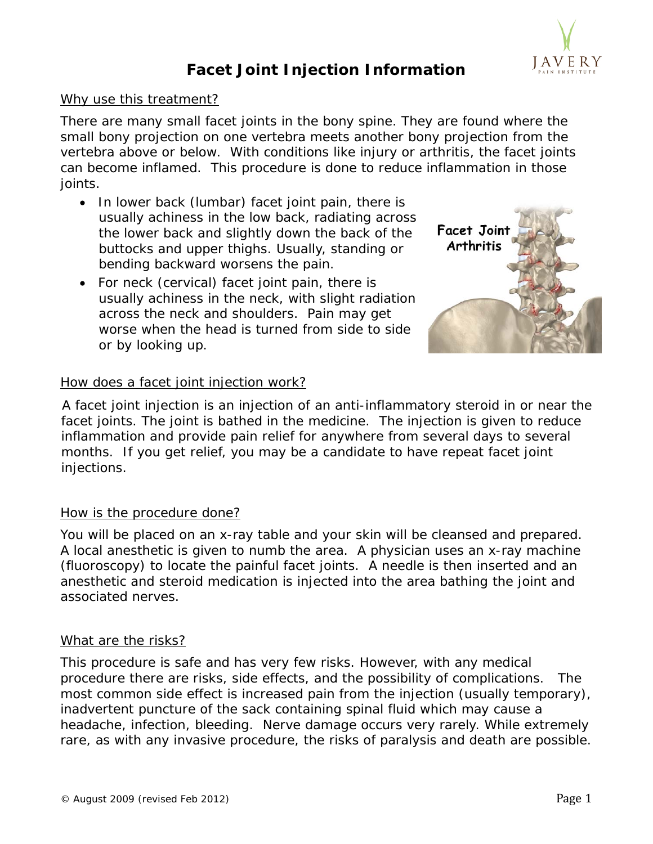

### **Facet Joint Injection Information**

### Why use this treatment?

There are many small facet joints in the bony spine. They are found where the small bony projection on one vertebra meets another bony projection from the vertebra above or below. With conditions like injury or arthritis, the facet joints can become inflamed. This procedure is done to reduce inflammation in those joints.

- In lower back (lumbar) facet joint pain, there is usually achiness in the low back, radiating across the lower back and slightly down the back of the buttocks and upper thighs. Usually, standing or bending backward worsens the pain.
- For neck (cervical) facet joint pain, there is usually achiness in the neck, with slight radiation across the neck and shoulders. Pain may get worse when the head is turned from side to side or by looking up.



### How does a facet joint injection work?

A facet joint injection is an injection of an anti-inflammatory steroid in or near the facet joints. The joint is bathed in the medicine. The injection is given to reduce inflammation and provide pain relief for anywhere from several days to several months. If you get relief, you may be a candidate to have repeat facet joint injections.

### How is the procedure done?

You will be placed on an x-ray table and your skin will be cleansed and prepared. A local anesthetic is given to numb the area. A physician uses an x-ray machine (fluoroscopy) to locate the painful facet joints. A needle is then inserted and an anesthetic and steroid medication is injected into the area bathing the joint and associated nerves.

### What are the risks?

This procedure is safe and has very few risks. However, with any medical procedure there are risks, side effects, and the possibility of complications. The most common side effect is increased pain from the injection (usually temporary), inadvertent puncture of the sack containing spinal fluid which may cause a headache, infection, bleeding. Nerve damage occurs very rarely. While extremely rare, as with any invasive procedure, the risks of paralysis and death are possible.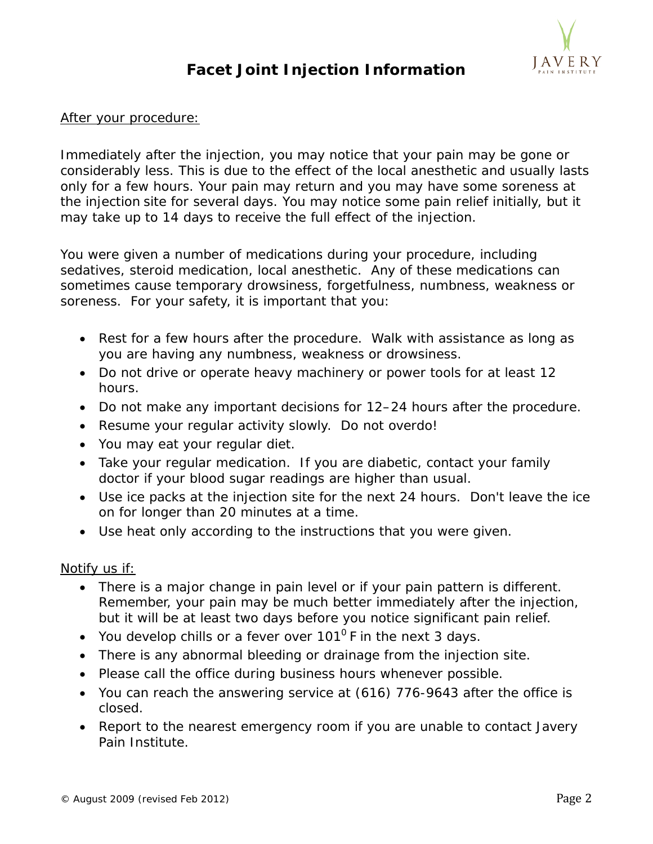# J A V E R Y

## **Facet Joint Injection Information**

### After your procedure:

Immediately after the injection, you may notice that your pain may be gone or considerably less. This is due to the effect of the local anesthetic and usually lasts only for a few hours. Your pain may return and you may have some soreness at the injection site for several days. You may notice some pain relief initially, but it may take up to 14 days to receive the full effect of the injection.

You were given a number of medications during your procedure, including sedatives, steroid medication, local anesthetic. Any of these medications can sometimes cause temporary drowsiness, forgetfulness, numbness, weakness or soreness. For your safety, it is important that you:

- Rest for a few hours after the procedure. Walk with assistance as long as you are having any numbness, weakness or drowsiness.
- Do not drive or operate heavy machinery or power tools for at least 12 hours.
- Do not make any important decisions for 12–24 hours after the procedure.
- Resume your regular activity slowly. Do not overdo!
- You may eat your regular diet.
- Take your regular medication. If you are diabetic, contact your family doctor if your blood sugar readings are higher than usual.
- Use ice packs at the injection site for the next 24 hours. Don't leave the ice on for longer than 20 minutes at a time.
- Use heat only according to the instructions that you were given.

### Notify us if:

- There is a major change in pain level or if your pain pattern is different. Remember, your pain may be much better immediately after the injection, but it will be at least two days before you notice significant pain relief.
- You develop chills or a fever over  $101^{\circ}$  F in the next 3 days.
- There is any abnormal bleeding or drainage from the injection site.
- Please call the office during business hours whenever possible.
- You can reach the answering service at (616) 776-9643 after the office is closed.
- Report to the nearest emergency room if you are unable to contact Javery Pain Institute.